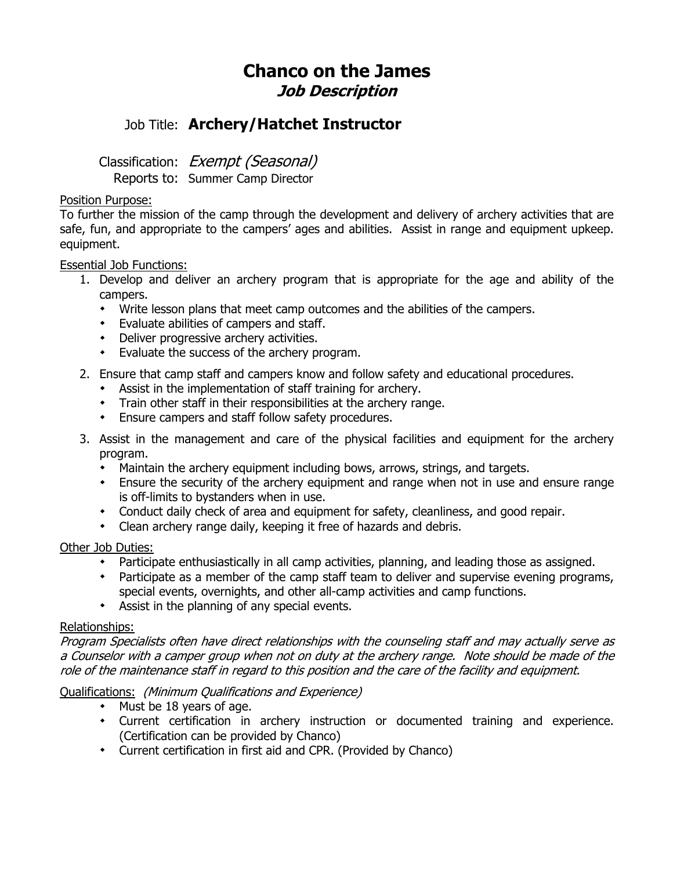# **Chanco on the James Job Description**

## Job Title: **Archery/Hatchet Instructor**

Classification: Exempt (Seasonal)

Reports to: Summer Camp Director

#### Position Purpose:

To further the mission of the camp through the development and delivery of archery activities that are safe, fun, and appropriate to the campers' ages and abilities. Assist in range and equipment upkeep. equipment.

#### Essential Job Functions:

- 1. Develop and deliver an archery program that is appropriate for the age and ability of the campers.
	- Write lesson plans that meet camp outcomes and the abilities of the campers.
	- Evaluate abilities of campers and staff.
	- Deliver progressive archery activities.
	- Evaluate the success of the archery program.
- 2. Ensure that camp staff and campers know and follow safety and educational procedures.
	- Assist in the implementation of staff training for archery.
	- Train other staff in their responsibilities at the archery range.
	- Ensure campers and staff follow safety procedures.
- 3. Assist in the management and care of the physical facilities and equipment for the archery program.
	- Maintain the archery equipment including bows, arrows, strings, and targets.
	- Ensure the security of the archery equipment and range when not in use and ensure range is off-limits to bystanders when in use.
	- Conduct daily check of area and equipment for safety, cleanliness, and good repair.
	- Clean archery range daily, keeping it free of hazards and debris.

#### Other Job Duties:

- Participate enthusiastically in all camp activities, planning, and leading those as assigned.
- Participate as a member of the camp staff team to deliver and supervise evening programs, special events, overnights, and other all-camp activities and camp functions.
- Assist in the planning of any special events.

#### Relationships:

Program Specialists often have direct relationships with the counseling staff and may actually serve as a Counselor with a camper group when not on duty at the archery range. Note should be made of the role of the maintenance staff in regard to this position and the care of the facility and equipment.

### Qualifications: (Minimum Qualifications and Experience)

- Must be 18 years of age.
- Current certification in archery instruction or documented training and experience. (Certification can be provided by Chanco)
- Current certification in first aid and CPR. (Provided by Chanco)